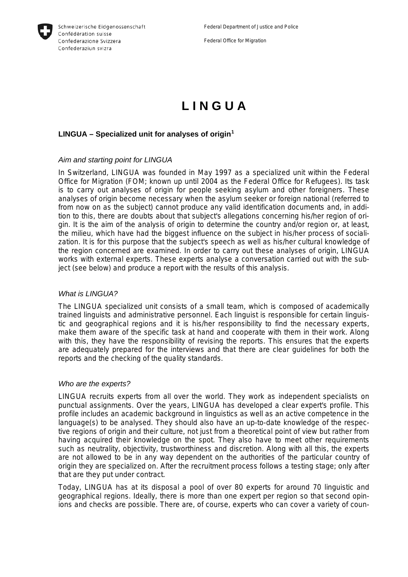

Federal Office for Migration

# **L I N G U A**

# **LINGUA – Specialized unit for analyses of origin[1](#page-4-0)**

### *Aim and starting point for LINGUA*

In Switzerland, LINGUA was founded in May 1997 as a specialized unit within the Federal Office for Migration (FOM; known up until 2004 as the Federal Office for Refugees). Its task is to carry out analyses of origin for people seeking asylum and other foreigners. These analyses of origin become necessary when the asylum seeker or foreign national (referred to from now on as the subject) cannot produce any valid identification documents and, in addition to this, there are doubts about that subject's allegations concerning his/her region of origin. It is the aim of the analysis of origin to determine the country and/or region or, at least, the milieu, which have had the biggest influence on the subject in his/her process of socialization. It is for this purpose that the subject's speech as well as his/her cultural knowledge of the region concerned are examined. In order to carry out these analyses of origin, LINGUA works with external experts. These experts analyse a conversation carried out with the subject (see below) and produce a report with the results of this analysis.

#### *What is LINGUA?*

The LINGUA specialized unit consists of a small team, which is composed of academically trained linguists and administrative personnel. Each linguist is responsible for certain linguistic and geographical regions and it is his/her responsibility to find the necessary experts, make them aware of the specific task at hand and cooperate with them in their work. Along with this, they have the responsibility of revising the reports. This ensures that the experts are adequately prepared for the interviews and that there are clear guidelines for both the reports and the checking of the quality standards.

#### *Who are the experts?*

LINGUA recruits experts from all over the world. They work as independent specialists on punctual assignments. Over the years, LINGUA has developed a clear expert's profile. This profile includes an academic background in linguistics as well as an active competence in the language(s) to be analysed. They should also have an up-to-date knowledge of the respective regions of origin and their culture, not just from a theoretical point of view but rather from having acquired their knowledge on the spot. They also have to meet other requirements such as neutrality, objectivity, trustworthiness and discretion. Along with all this, the experts are not allowed to be in any way dependent on the authorities of the particular country of origin they are specialized on. After the recruitment process follows a testing stage; only after that are they put under contract.

Today, LINGUA has at its disposal a pool of over 80 experts for around 70 linguistic and geographical regions. Ideally, there is more than one expert per region so that second opinions and checks are possible. There are, of course, experts who can cover a variety of coun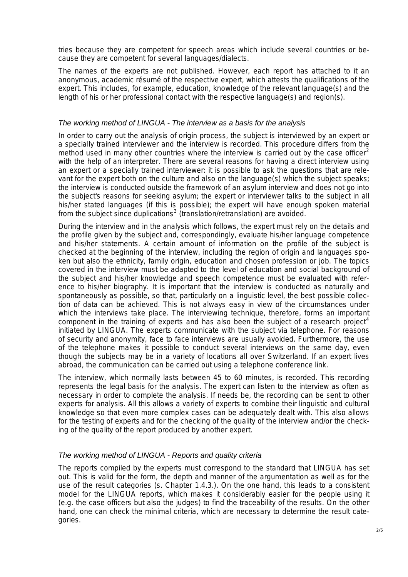tries because they are competent for speech areas which include several countries or because they are competent for several languages/dialects.

The names of the experts are not published. However, each report has attached to it an anonymous, academic ré sumé of the respective expert, which attests the qualifications of the expert. This includes, for example, education, knowledge of the relevant language(s) and the length of his or her professional contact with the respective language(s) and region(s).

# *The working method of LINGUA - The interview as a basis for the analysis*

In order to carry out the analysis of origin process, the subject is interviewed by an expert or a specially trained interviewer and the interview is recorded. This procedure differs from the method used in many other countries where the interview is carried out by the case officer<sup>[2](#page-4-1)</sup> with the help of an interpreter. There are several reasons for having a direct interview using an expert or a specially trained interviewer: it is possible to ask the questions that are relevant for the expert both on the culture and also on the language(s) which the subject speaks; the interview is conducted outside the framework of an asylum interview and does not go into the subject's reasons for seeking asylum; the expert or interviewer talks to the subject in all his/her stated languages (if this is possible); the expert will have enough spoken material from the subject since duplications<sup>[3](#page-4-1)</sup> (translation/retranslation) are avoided.

During the interview and in the analysis which follows, the expert must rely on the details and the profile given by the subject and, correspondingly, evaluate his/her language competence and his/her statements. A certain amount of information on the profile of the subject is checked at the beginning of the interview, including the region of origin and languages spoken but also the ethnicity, family origin, education and chosen profession or job. The topics covered in the interview must be adapted to the level of education and social background of the subject and his/her knowledge and speech competence must be evaluated with reference to his/her biography. It is important that the interview is conducted as naturally and spontaneously as possible, so that, particularly on a linguistic level, the best possible collection of data can be achieved. This is not always easy in view of the circumstances under which the interviews take place. The interviewing technique, therefore, forms an important component in the training of experts and has also been the subject of a research project<sup>[4](#page-4-1)</sup> initiated by LINGUA. The experts communicate with the subject via telephone. For reasons of security and anonymity, face to face interviews are usually avoided. Furthermore, the use of the telephone makes it possible to conduct several interviews on the same day, even though the subjects may be in a variety of locations all over Switzerland. If an expert lives abroad, the communication can be carried out using a telephone conference link.

The interview, which normally lasts between 45 to 60 minutes, is recorded. This recording represents the legal basis for the analysis. The expert can listen to the interview as often as necessary in order to complete the analysis. If needs be, the recording can be sent to other experts for analysis. All this allows a variety of experts to combine their linguistic and cultural knowledge so that even more complex cases can be adequately dealt with. This also allows for the testing of experts and for the checking of the quality of the interview and/or the checking of the quality of the report produced by another expert.

#### *The working method of LINGUA - Reports and quality criteria*

The reports compiled by the experts must correspond to the standard that LINGUA has set out. This is valid for the form, the depth and manner of the argumentation as well as for the use of the result categories (s. Chapter 1.4.3.). On the one hand, this leads to a consistent model for the LINGUA reports, which makes it considerably easier for the people using it (e.g. the case officers but also the judges) to find the traceability of the results. On the other hand, one can check the minimal criteria, which are necessary to determine the result categories.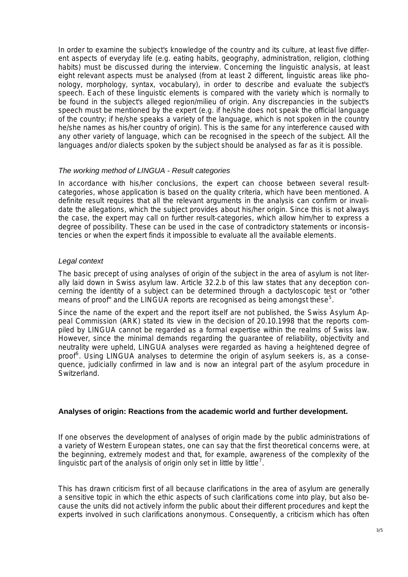In order to examine the subject's knowledge of the country and its culture, at least five different aspects of everyday life (e.g. eating habits, geography, administration, religion, clothing habits) must be discussed during the interview. Concerning the linguistic analysis, at least eight relevant aspects must be analysed (from at least 2 different, linguistic areas like phonology, morphology, syntax, vocabulary), in order to describe and evaluate the subject's speech. Each of these linguistic elements is compared with the variety which is normally to be found in the subject's alleged region/milieu of origin. Any discrepancies in the subject's speech must be mentioned by the expert (e.g. if he/she does not speak the official language of the country; if he/she speaks a variety of the language, which is not spoken in the country he/she names as his/her country of origin). This is the same for any interference caused with any other variety of language, which can be recognised in the speech of the subject. All the languages and/or dialects spoken by the subject should be analysed as far as it is possible.

# *The working method of LINGUA - Result categories*

In accordance with his/her conclusions, the expert can choose between several resultcategories, whose application is based on the quality criteria, which have been mentioned. A definite result requires that all the relevant arguments in the analysis can confirm or invalidate the allegations, which the subject provides about his/her origin. Since this is not always the case, the expert may call on further result-categories, which allow him/her to express a degree of possibility. These can be used in the case of contradictory statements or inconsistencies or when the expert finds it impossible to evaluate all the available elements.

### *Legal context*

The basic precept of using analyses of origin of the subject in the area of asylum is not literally laid down in Swiss asylum law. Article 32.2.b of this law states that any deception concerning the identity of a subject can be determined through a dactyloscopic test or "other means of proof" and the LINGUA reports are recognised as being amongst these<sup>[5](#page-4-1)</sup>.

Since the name of the expert and the report itself are not published, the Swiss Asylum Appeal Commission (ARK) stated its view in the decision of 20.10.1998 that the reports compiled by LINGUA cannot be regarded as a formal expertise within the realms of Swiss law. However, since the minimal demands regarding the guarantee of reliability, objectivity and neutrality were upheld, LINGUA analyses were regarded as having a heightened degree of proof<sup>[6](#page-4-1)</sup>. Using LINGUA analyses to determine the origin of asylum seekers is, as a consequence, judicially confirmed in law and is now an integral part of the asylum procedure in Switzerland.

# **Analyses of origin: Reactions from the academic world and further development.**

If one observes the development of analyses of origin made by the public administrations of a variety of Western European states, one can say that the first theoretical concerns were, at the beginning, extremely modest and that, for example, awareness of the complexity of the linguistic part of the analysis of origin only set in little by little<sup>[7](#page-4-1)</sup>.

This has drawn criticism first of all because clarifications in the area of asylum are generally a sensitive topic in which the ethic aspects of such clarifications come into play, but also because the units did not actively inform the public about their different procedures and kept the experts involved in such clarifications anonymous. Consequently, a criticism which has often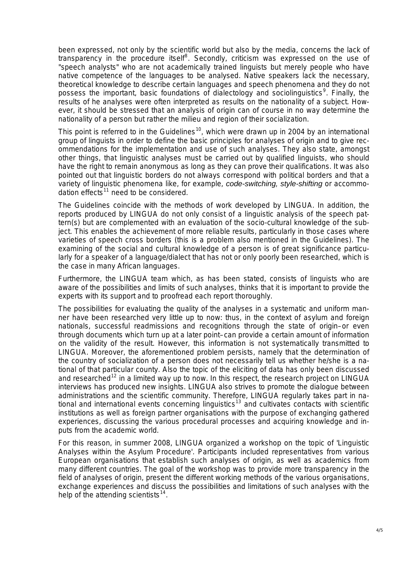been expressed, not only by the scientific world but also by the media, concerns the lack of transparency in the procedure itself<sup>[8](#page-4-1)</sup>. Secondly, criticism was expressed on the use of "speech analysts" who are not academically trained linguists but merely people who have native competence of the languages to be analysed. Native speakers lack the necessary, theoretical knowledge to describe certain languages and speech phenomena and they do not possess the important, basic foundations of dialectology and sociolinguistics<sup>[9](#page-4-1)</sup>. Finally, the results of he analyses were often interpreted as results on the nationality of a subject. However, it should be stressed that an analysis of origin can of course in no way determine the nationality of a person but rather the milieu and region of their socialization.

This point is referred to in the Guidelines<sup>[10](#page-4-1)</sup>, which were drawn up in 2004 by an international group of linguists in order to define the basic principles for analyses of origin and to give recommendations for the implementation and use of such analyses. They also state, amongst other things, that linguistic analyses must be carried out by qualified linguists, who should have the right to remain anonymous as long as they can prove their qualifications. It was also pointed out that linguistic borders do not always correspond with political borders and that a variety of linguistic phenomena like, for example, *code-switching, style-shifting* or accommo-dation effects<sup>[11](#page-4-1)</sup> need to be considered.

The Guidelines coincide with the methods of work developed by LINGUA. In addition, the reports produced by LINGUA do not only consist of a linguistic analysis of the speech pattern(s) but are complemented with an evaluation of the socio-cultural knowledge of the subject. This enables the achievement of more reliable results, particularly in those cases where varieties of speech cross borders (this is a problem also mentioned in the Guidelines). The examining of the social and cultural knowledge of a person is of great significance particularly for a speaker of a language/dialect that has not or only poorly been researched, which is the case in many African languages.

Furthermore, the LINGUA team which, as has been stated, consists of linguists who are aware of the possibilities and limits of such analyses, thinks that it is important to provide the experts with its support and to proofread each report thoroughly.

The possibilities for evaluating the quality of the analyses in a systematic and uniform manner have been researched very little up to now: thus, in the context of asylum and foreign nationals, successful readmissions and recognitions through the state of origin–or even through documents which turn up at a later point–can provide a certain amount of information on the validity of the result. However, this information is not systematically transmitted to LINGUA. Moreover, the aforementioned problem persists, namely that the determination of the country of socialization of a person does not necessarily tell us whether he/she is a national of that particular county. Also the topic of the eliciting of data has only been discussed and researched<sup>[12](#page-4-1)</sup> in a limited way up to now. In this respect, the research project on LINGUA interviews has produced new insights. LINGUA also strives to promote the dialogue between administrations and the scientific community. Therefore, LINGUA regularly takes part in national and international events concerning linguistics[13](#page-4-1) and cultivates contacts with scientific institutions as well as foreign partner organisations with the purpose of exchanging gathered experiences, discussing the various procedural processes and acquiring knowledge and inputs from the academic world.

For this reason, in summer 2008, LINGUA organized a workshop on the topic of 'Linguistic Analyses within the Asylum Procedure'. Participants included representatives from various European organisations that establish such analyses of origin, as well as academics from many different countries. The goal of the workshop was to provide more transparency in the field of analyses of origin, present the different working methods of the various organisations, exchange experiences and discuss the possibilities and limitations of such analyses with the help of the attending scientists $14$ .